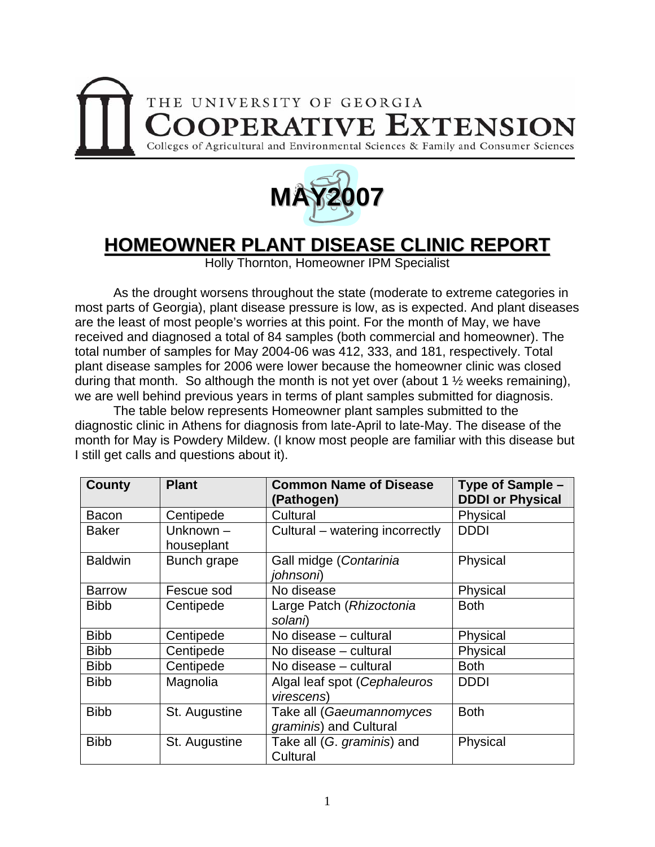



## **HOMEOWNER PLANT DISEASE CLINIC REPORT**

Holly Thornton, Homeowner IPM Specialist

 As the drought worsens throughout the state (moderate to extreme categories in most parts of Georgia), plant disease pressure is low, as is expected. And plant diseases are the least of most people's worries at this point. For the month of May, we have received and diagnosed a total of 84 samples (both commercial and homeowner). The total number of samples for May 2004-06 was 412, 333, and 181, respectively. Total plant disease samples for 2006 were lower because the homeowner clinic was closed during that month. So although the month is not yet over (about 1 ½ weeks remaining), we are well behind previous years in terms of plant samples submitted for diagnosis.

 The table below represents Homeowner plant samples submitted to the diagnostic clinic in Athens for diagnosis from late-April to late-May. The disease of the month for May is Powdery Mildew. (I know most people are familiar with this disease but I still get calls and questions about it).

| <b>County</b>  | <b>Plant</b>              | <b>Common Name of Disease</b><br>(Pathogen)        | Type of Sample -<br><b>DDDI or Physical</b> |
|----------------|---------------------------|----------------------------------------------------|---------------------------------------------|
| Bacon          | Centipede                 | Cultural                                           | Physical                                    |
| <b>Baker</b>   | Unknown $-$<br>houseplant | Cultural – watering incorrectly                    | <b>DDDI</b>                                 |
| <b>Baldwin</b> | Bunch grape               | Gall midge (Contarinia<br>johnsoni)                | Physical                                    |
| <b>Barrow</b>  | Fescue sod                | No disease                                         | Physical                                    |
| <b>Bibb</b>    | Centipede                 | Large Patch (Rhizoctonia<br>solani)                | <b>Both</b>                                 |
| <b>Bibb</b>    | Centipede                 | No disease - cultural                              | Physical                                    |
| <b>Bibb</b>    | Centipede                 | No disease - cultural                              | Physical                                    |
| <b>Bibb</b>    | Centipede                 | No disease – cultural                              | <b>Both</b>                                 |
| <b>Bibb</b>    | Magnolia                  | Algal leaf spot (Cephaleuros<br>virescens)         | <b>DDDI</b>                                 |
| <b>Bibb</b>    | St. Augustine             | Take all (Gaeumannomyces<br>graminis) and Cultural | <b>Both</b>                                 |
| <b>Bibb</b>    | St. Augustine             | Take all (G. graminis) and<br>Cultural             | Physical                                    |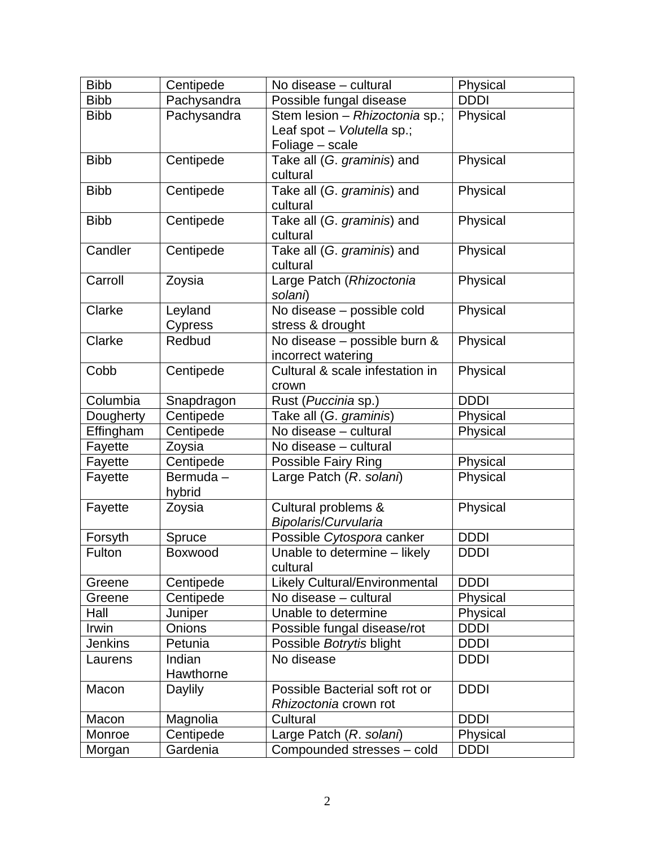| <b>Bibb</b>    | Centipede         | No disease - cultural                                 | Physical    |
|----------------|-------------------|-------------------------------------------------------|-------------|
| <b>Bibb</b>    | Pachysandra       | Possible fungal disease                               | <b>DDDI</b> |
| <b>Bibb</b>    | Pachysandra       | Stem lesion - Rhizoctonia sp.;                        | Physical    |
|                |                   | Leaf spot - Volutella sp.;                            |             |
|                |                   | Foliage - scale                                       |             |
| <b>Bibb</b>    | Centipede         | Take all (G. graminis) and                            | Physical    |
|                |                   | cultural                                              |             |
| <b>Bibb</b>    | Centipede         | Take all (G. graminis) and                            | Physical    |
|                |                   | cultural                                              |             |
| <b>Bibb</b>    | Centipede         | Take all (G. graminis) and                            | Physical    |
|                |                   | cultural                                              |             |
| Candler        | Centipede         | Take all (G. graminis) and                            | Physical    |
|                |                   | cultural                                              |             |
| Carroll        | Zoysia            | Large Patch (Rhizoctonia                              | Physical    |
|                |                   | solani)                                               |             |
| Clarke         | Leyland           | No disease - possible cold                            | Physical    |
| Clarke         | Cypress<br>Redbud | stress & drought                                      | Physical    |
|                |                   | No disease - possible burn &                          |             |
| Cobb           | Centipede         | incorrect watering<br>Cultural & scale infestation in | Physical    |
|                |                   | crown                                                 |             |
| Columbia       | Snapdragon        | Rust (Puccinia sp.)                                   | <b>DDDI</b> |
| Dougherty      | Centipede         | Take all (G. graminis)                                | Physical    |
| Effingham      | Centipede         | No disease - cultural                                 | Physical    |
| Fayette        | Zoysia            | No disease - cultural                                 |             |
| Fayette        | Centipede         | Possible Fairy Ring                                   | Physical    |
| Fayette        | Bermuda-          | Large Patch (R. solani)                               | Physical    |
|                | hybrid            |                                                       |             |
| Fayette        | Zoysia            | Cultural problems &                                   | Physical    |
|                |                   | <b>Bipolaris/Curvularia</b>                           |             |
| Forsyth        | Spruce            | Possible Cytospora canker                             | <b>DDDI</b> |
| Fulton         | Boxwood           | Unable to determine - likely                          | <b>DDDI</b> |
|                |                   | cultural                                              |             |
| Greene         | Centipede         | <b>Likely Cultural/Environmental</b>                  | <b>DDDI</b> |
| Greene         | Centipede         | No disease - cultural                                 | Physical    |
| Hall           | Juniper           | Unable to determine                                   | Physical    |
| Irwin          | Onions            | Possible fungal disease/rot                           | <b>DDDI</b> |
| <b>Jenkins</b> | Petunia           | Possible Botrytis blight                              | <b>DDDI</b> |
| Laurens        | Indian            | No disease                                            | <b>DDDI</b> |
|                | Hawthorne         |                                                       |             |
| Macon          | Daylily           | Possible Bacterial soft rot or                        | <b>DDDI</b> |
|                |                   | Rhizoctonia crown rot                                 |             |
| Macon          | Magnolia          | Cultural                                              | <b>DDDI</b> |
| Monroe         | Centipede         | Large Patch (R. solani)                               | Physical    |
| Morgan         | Gardenia          | Compounded stresses - cold                            | <b>DDDI</b> |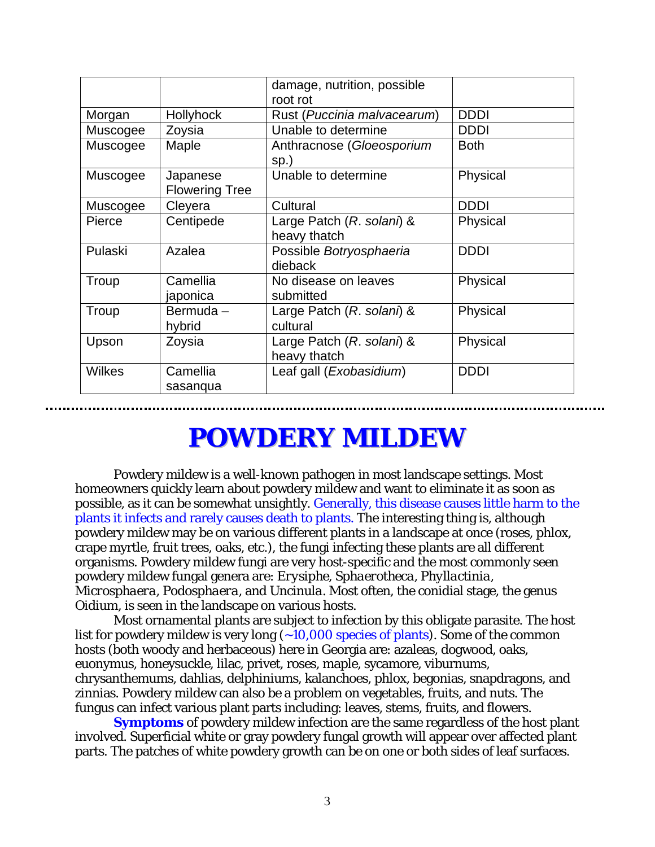|          |                                   | damage, nutrition, possible<br>root rot   |             |
|----------|-----------------------------------|-------------------------------------------|-------------|
| Morgan   | Hollyhock                         | Rust (Puccinia malvacearum)               | <b>DDDI</b> |
| Muscogee | Zoysia                            | Unable to determine                       | <b>DDDI</b> |
| Muscogee | Maple                             | Anthracnose (Gloeosporium<br>sp.)         | <b>Both</b> |
| Muscogee | Japanese<br><b>Flowering Tree</b> | Unable to determine                       | Physical    |
| Muscogee | Cleyera                           | Cultural                                  | <b>DDDI</b> |
| Pierce   | Centipede                         | Large Patch (R. solani) &<br>heavy thatch | Physical    |
| Pulaski  | Azalea                            | Possible Botryosphaeria<br>dieback        | <b>DDDI</b> |
| Troup    | Camellia<br>japonica              | No disease on leaves<br>submitted         | Physical    |
| Troup    | Bermuda-<br>hybrid                | Large Patch (R. solani) &<br>cultural     | Physical    |
| Upson    | Zoysia                            | Large Patch (R. solani) &<br>heavy thatch | Physical    |
| Wilkes   | Camellia<br>sasanqua              | Leaf gall ( <i>Exobasidium</i> )          | <b>DDDI</b> |

## **POWDERY MILDEW**

 Powdery mildew is a well-known pathogen in most landscape settings. Most homeowners quickly learn about powdery mildew and want to eliminate it as soon as possible, as it can be somewhat unsightly. Generally, this disease causes little harm to the plants it infects and rarely causes death to plants. The interesting thing is, although powdery mildew may be on various different plants in a landscape at once (roses, phlox, crape myrtle, fruit trees, oaks, etc.), the fungi infecting these plants are all different organisms. Powdery mildew fungi are very host-specific and the most commonly seen powdery mildew fungal genera are: *Erysiphe, Sphaerotheca, Phyllactinia, Microsphaera, Podosphaera,* and *Uncinula*. Most often, the conidial stage, the genus *Oidium*, is seen in the landscape on various hosts.

 Most ornamental plants are subject to infection by this obligate parasite. The host list for powdery mildew is very long  $(-10,000$  species of plants). Some of the common hosts (both woody and herbaceous) here in Georgia are: azaleas, dogwood, oaks, euonymus, honeysuckle, lilac, privet, roses, maple, sycamore, viburnums, chrysanthemums, dahlias, delphiniums, kalanchoes, phlox, begonias, snapdragons, and zinnias. Powdery mildew can also be a problem on vegetables, fruits, and nuts. The fungus can infect various plant parts including: leaves, stems, fruits, and flowers.

**Symptoms** of powdery mildew infection are the same regardless of the host plant involved. Superficial white or gray powdery fungal growth will appear over affected plant parts. The patches of white powdery growth can be on one or both sides of leaf surfaces.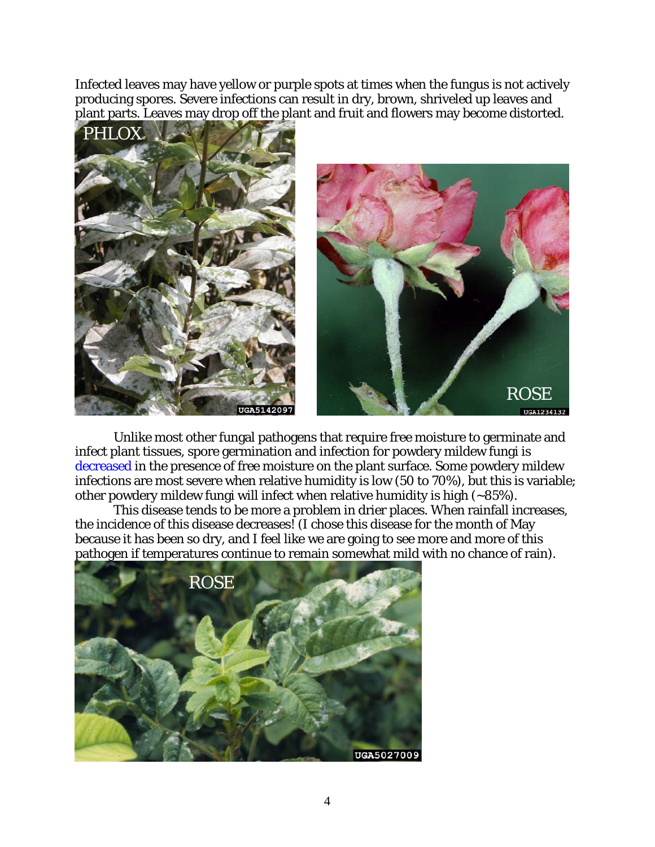Infected leaves may have yellow or purple spots at times when the fungus is not actively producing spores. Severe infections can result in dry, brown, shriveled up leaves and plant parts. Leaves may drop off the plant and fruit and flowers may become distorted.



Unlike most other fungal pathogens that require free moisture to germinate and infect plant tissues, spore germination and infection for powdery mildew fungi is decreased in the presence of free moisture on the plant surface. Some powdery mildew infections are most severe when relative humidity is low (50 to 70%), but this is variable; other powdery mildew fungi will infect when relative humidity is high (~85%).

This disease tends to be more a problem in drier places. When rainfall increases, the incidence of this disease decreases! (I chose this disease for the month of May because it has been so dry, and I feel like we are going to see more and more of this pathogen if temperatures continue to remain somewhat mild with no chance of rain).

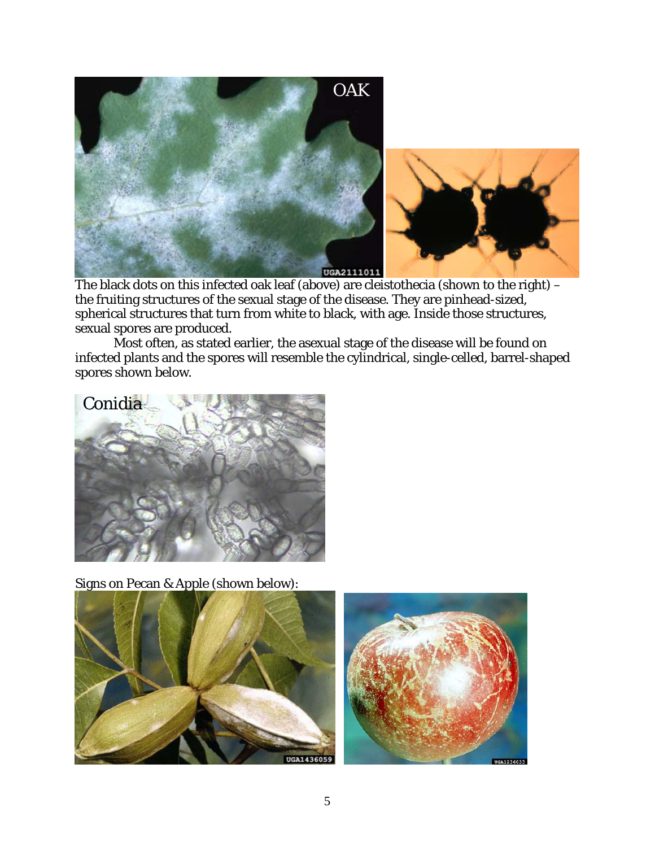

The black dots on this infected oak leaf (above) are cleistothecia (shown to the right) the fruiting structures of the sexual stage of the disease. They are pinhead-sized, spherical structures that turn from white to black, with age. Inside those structures, sexual spores are produced.

Most often, as stated earlier, the asexual stage of the disease will be found on infected plants and the spores will resemble the cylindrical, single-celled, barrel-shaped spores shown below.



Signs on Pecan & Apple (shown below):